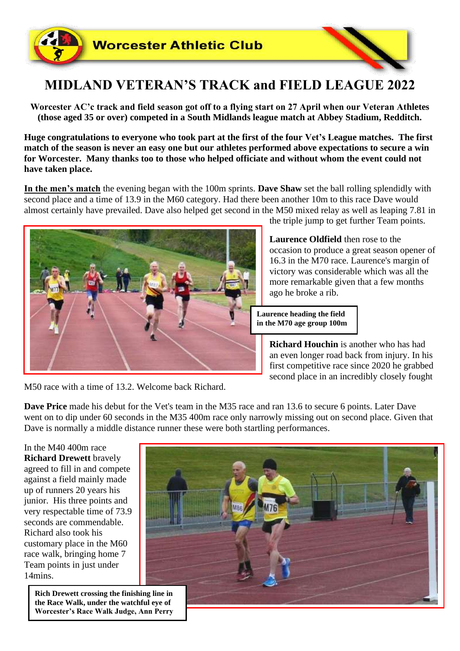

## **MIDLAND VETERAN'S TRACK and FIELD LEAGUE 2022**

**Worcester AC'c track and field season got off to a flying start on 27 April when our Veteran Athletes (those aged 35 or over) competed in a South Midlands league match at Abbey Stadium, Redditch.**

**Huge congratulations to everyone who took part at the first of the four Vet's League matches. The first match of the season is never an easy one but our athletes performed above expectations to secure a win for Worcester. Many thanks too to those who helped officiate and without whom the event could not have taken place.**

**In the men's match** the evening began with the 100m sprints. **Dave Shaw** set the ball rolling splendidly with second place and a time of 13.9 in the M60 category. Had there been another 10m to this race Dave would almost certainly have prevailed. Dave also helped get second in the M50 mixed relay as well as leaping 7.81 in



the triple jump to get further Team points.

**Laurence Oldfield** then rose to the occasion to produce a great season opener of 16.3 in the M70 race. Laurence's margin of victory was considerable which was all the more remarkable given that a few months ago he broke a rib.

**Laurence heading the field in the M70 age group 100m**

> **Richard Houchin** is another who has had an even longer road back from injury. In his first competitive race since 2020 he grabbed second place in an incredibly closely fought

M50 race with a time of 13.2. Welcome back Richard.

**Dave Price** made his debut for the Vet's team in the M35 race and ran 13.6 to secure 6 points. Later Dave went on to dip under 60 seconds in the M35 400m race only narrowly missing out on second place. Given that Dave is normally a middle distance runner these were both startling performances.

In the M40 400m race **Richard Drewett** bravely agreed to fill in and compete against a field mainly made up of runners 20 years his junior. His three points and very respectable time of 73.9 seconds are commendable. Richard also took his customary place in the M60 race walk, bringing home 7 Team points in just under 14mins.

> **Rich Drewett crossing the finishing line in the Race Walk, under the watchful eye of Worcester's Race Walk Judge, Ann Perry**

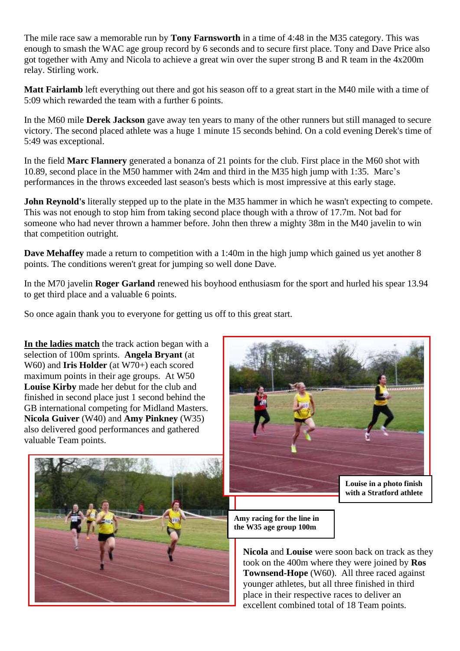The mile race saw a memorable run by **Tony Farnsworth** in a time of 4:48 in the M35 category. This was enough to smash the WAC age group record by 6 seconds and to secure first place. Tony and Dave Price also got together with Amy and Nicola to achieve a great win over the super strong B and R team in the 4x200m relay. Stirling work.

**Matt Fairlamb** left everything out there and got his season off to a great start in the M40 mile with a time of 5:09 which rewarded the team with a further 6 points.

In the M60 mile **Derek Jackson** gave away ten years to many of the other runners but still managed to secure victory. The second placed athlete was a huge 1 minute 15 seconds behind. On a cold evening Derek's time of 5:49 was exceptional.

In the field **Marc Flannery** generated a bonanza of 21 points for the club. First place in the M60 shot with 10.89, second place in the M50 hammer with 24m and third in the M35 high jump with 1:35. Marc's performances in the throws exceeded last season's bests which is most impressive at this early stage.

**John Reynold's** literally stepped up to the plate in the M35 hammer in which he wasn't expecting to compete. This was not enough to stop him from taking second place though with a throw of 17.7m. Not bad for someone who had never thrown a hammer before. John then threw a mighty 38m in the M40 javelin to win that competition outright.

**Dave Mehaffey** made a return to competition with a 1:40m in the high jump which gained us yet another 8 points. The conditions weren't great for jumping so well done Dave.

In the M70 javelin **Roger Garland** renewed his boyhood enthusiasm for the sport and hurled his spear 13.94 to get third place and a valuable 6 points.

So once again thank you to everyone for getting us off to this great start.

**In the ladies match** the track action began with a selection of 100m sprints. **Angela Bryant** (at W60) and **Iris Holder** (at W70+) each scored maximum points in their age groups. At W50 **Louise Kirby** made her debut for the club and finished in second place just 1 second behind the GB international competing for Midland Masters. **Nicola Guiver** (W40) and **Amy Pinkney** (W35) also delivered good performances and gathered valuable Team points.





**with a Stratford athlete**

**Amy racing for the line in the W35 age group 100m**

**Nicola** and **Louise** were soon back on track as they took on the 400m where they were joined by **Ros Townsend-Hope** (W60). All three raced against younger athletes, but all three finished in third place in their respective races to deliver an excellent combined total of 18 Team points.